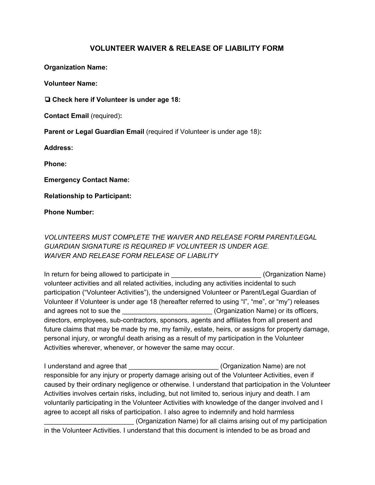## **VOLUNTEER WAIVER & RELEASE OF LIABILITY FORM**

**Organization Name:**

**Volunteer Name:**

❏ **Check here if Volunteer is under age 18:**

**Contact Email** (required)**:**

**Parent or Legal Guardian Email** (required if Volunteer is under age 18)**:**

**Address:**

**Phone:**

**Emergency Contact Name:**

**Relationship to Participant:**

**Phone Number:**

## *VOLUNTEERS MUST COMPLETE THE WAIVER AND RELEASE FORM PARENT/LEGAL GUARDIAN SIGNATURE IS REQUIRED IF VOLUNTEER IS UNDER AGE. WAIVER AND RELEASE FORM RELEASE OF LIABILITY*

In return for being allowed to participate in Theorem and Containing (Organization Name) volunteer activities and all related activities, including any activities incidental to such participation ("Volunteer Activities"), the undersigned Volunteer or Parent/Legal Guardian of Volunteer if Volunteer is under age 18 (hereafter referred to using "I", "me", or "my") releases and agrees not to sue the  $(Organization Name)$  or its officers, directors, employees, sub-contractors, sponsors, agents and affiliates from all present and future claims that may be made by me, my family, estate, heirs, or assigns for property damage, personal injury, or wrongful death arising as a result of my participation in the Volunteer Activities wherever, whenever, or however the same may occur.

I understand and agree that **I** control in the Community Community (Organization Name) are not responsible for any injury or property damage arising out of the Volunteer Activities, even if caused by their ordinary negligence or otherwise. I understand that participation in the Volunteer Activities involves certain risks, including, but not limited to, serious injury and death. I am voluntarily participating in the Volunteer Activities with knowledge of the danger involved and I agree to accept all risks of participation. I also agree to indemnify and hold harmless \_\_\_\_\_\_\_\_\_\_\_\_\_\_\_\_\_\_\_\_\_\_\_\_ (Organization Name) for all claims arising out of my participation in the Volunteer Activities. I understand that this document is intended to be as broad and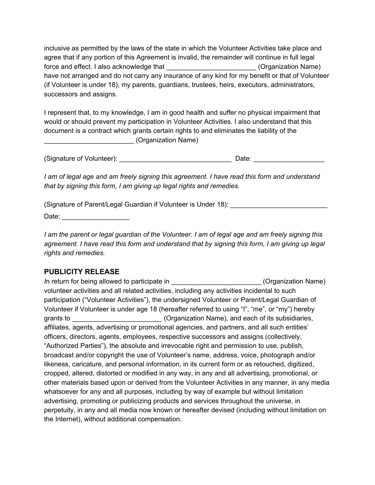inclusive as permitted by the laws of the state in which the Volunteer Activities take place and agree that if any portion of this Agreement is invalid, the remainder will continue in full legal force and effect. I also acknowledge that the state of the state (Organization Name) have not arranged and do not carry any insurance of any kind for my benefit or that of Volunteer (if Volunteer is under 18), my parents, guardians, trustees, heirs, executors, administrators, successors and assigns.

I represent that, to my knowledge, I am in good health and suffer no physical impairment that would or should prevent my participation in Volunteer Activities. I also understand that this document is a contract which grants certain rights to and eliminates the liability of the \_\_\_\_\_\_\_\_\_\_\_\_\_\_\_\_\_\_\_\_\_\_\_\_ (Organization Name)

(Signature of Volunteer): \_\_\_\_\_\_\_\_\_\_\_\_\_\_\_\_\_\_\_\_\_\_\_\_\_\_\_\_\_\_ Date: \_\_\_\_\_\_\_\_\_\_\_\_\_\_\_\_\_\_\_

*I am of legal age and am freely signing this agreement. I have read this form and understand that by signing this form, I am giving up legal rights and remedies.*

(Signature of Parent/Legal Guardian if Volunteer is Under 18): *\_\_\_\_\_\_\_\_\_\_\_\_\_\_\_\_\_\_\_\_\_\_\_\_\_\_*

Date: \_\_\_\_\_\_\_\_\_\_\_\_\_\_\_\_\_\_

I am the parent or legal guardian of the Volunteer. I am of legal age and am freely signing this *agreement. I have read this form and understand that by signing this form, I am giving up legal rights and remedies.*

## **PUBLICITY RELEASE**

*In return for being allowed to participate in \_\_\_\_\_\_\_\_\_\_\_\_\_\_\_\_\_\_\_\_\_\_\_\_\_* (Organization Name) volunteer activities and all related activities, including any activities incidental to such participation ("Volunteer Activities"), the undersigned Volunteer or Parent/Legal Guardian of Volunteer if Volunteer is under age 18 (hereafter referred to using "I", "me", or "my") hereby grants to **grants** to **grants** to **grants** to **grants** to **grants** to **grants** to **grants** to **grants** to **grants** to **grants** to **grants** to **grants** to **grants** to **grants** to **grants** to **grants** to **grants** to **grants** affiliates, agents, advertising or promotional agencies, and partners, and all such entities' officers, directors, agents, employees, respective successors and assigns (collectively, "Authorized Parties"), the absolute and irrevocable right and permission to use, publish, broadcast and/or copyright the use of Volunteer's name, address, voice, photograph and/or likeness, caricature, and personal information, in its current form or as retouched, digitized, cropped, altered, distorted or modified in any way, in any and all advertising, promotional, or other materials based upon or derived from the Volunteer Activities in any manner, in any media whatsoever for any and all purposes, including by way of example but without limitation advertising, promoting or publicizing products and services throughout the universe, in perpetuity, in any and all media now known or hereafter devised (including without limitation on the Internet), without additional compensation.